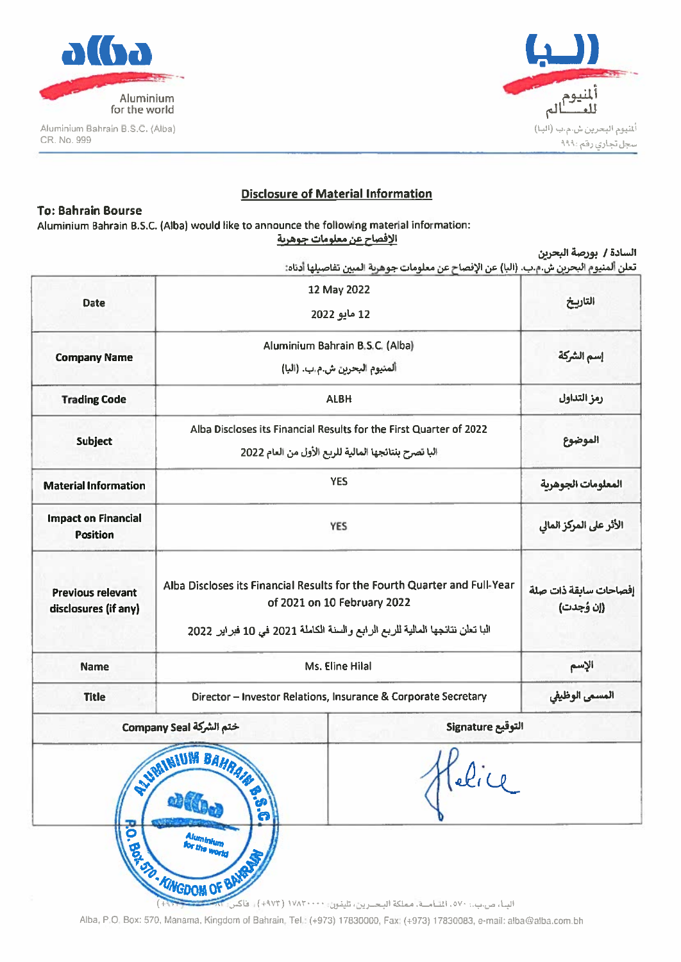

Aluminium Bahrain B.S.C. (Alba) CR. No. 999



### **Disclosure of Material Information**

### **To: Bahrain Bourse**

Aluminium Bahrain B.S.C. (Alba) would like to announce the following material information: الإفصاح عن معلومات جوهرية

|  |  |  | السادة / بورصة البحرين |  |  |
|--|--|--|------------------------|--|--|
|--|--|--|------------------------|--|--|

تعلن ألمنيوم البحرين ش.م.ب. (البا) عن الإفصاح عن معلومات جوهرية المبين تفاصيلها أدناه:

| <b>Date</b>                                      | 12 May 2022<br>12 مايو 2022                               |                                                                                                                                                                                          | التاريخ            |  |
|--------------------------------------------------|-----------------------------------------------------------|------------------------------------------------------------------------------------------------------------------------------------------------------------------------------------------|--------------------|--|
| <b>Company Name</b>                              |                                                           | Aluminium Bahrain B.S.C. (Alba)<br>ألمنيوم البحرين ش.م.ب. (البا)                                                                                                                         | إسم الشركة         |  |
| <b>Trading Code</b>                              |                                                           | <b>ALBH</b>                                                                                                                                                                              | رمز التداول        |  |
| <b>Subject</b>                                   |                                                           | Alba Discloses its Financial Results for the First Quarter of 2022<br>البا تصرح بنتائجها المالية للربع الأول من العام 2022                                                               |                    |  |
| <b>Material Information</b>                      |                                                           | <b>YES</b>                                                                                                                                                                               | المعلومات الجوهرية |  |
| <b>Impact on Financial</b><br><b>Position</b>    |                                                           | <b>YES</b>                                                                                                                                                                               |                    |  |
| <b>Previous relevant</b><br>disclosures (if any) |                                                           | Alba Discloses its Financial Results for the Fourth Quarter and Full-Year<br>of 2021 on 10 February 2022<br>البا تعلن نتائجها المالية للربع الرابع والسنة الكاملة 2021 في 10 فبراير 2022 |                    |  |
| <b>Name</b>                                      |                                                           | Ms. Eline Hilal                                                                                                                                                                          | الإسم              |  |
| <b>Title</b>                                     |                                                           | Director - Investor Relations, Insurance & Corporate Secretary                                                                                                                           | المسمى الوظيفي     |  |
|                                                  | ختم الشركة Company Seal                                   | التوقيع Signature                                                                                                                                                                        |                    |  |
|                                                  | NUMBER OF SAHARA<br>OF CO.<br>$\mathbf{e}$ .<br>Alumentum |                                                                                                                                                                                          |                    |  |

Alba, P.O. Box: 570, Manama, Kingdom of Bahrain, Tel.: (+973) 17830000, Fax: (+973) 17830083, e-mail: alba@alba.com.bh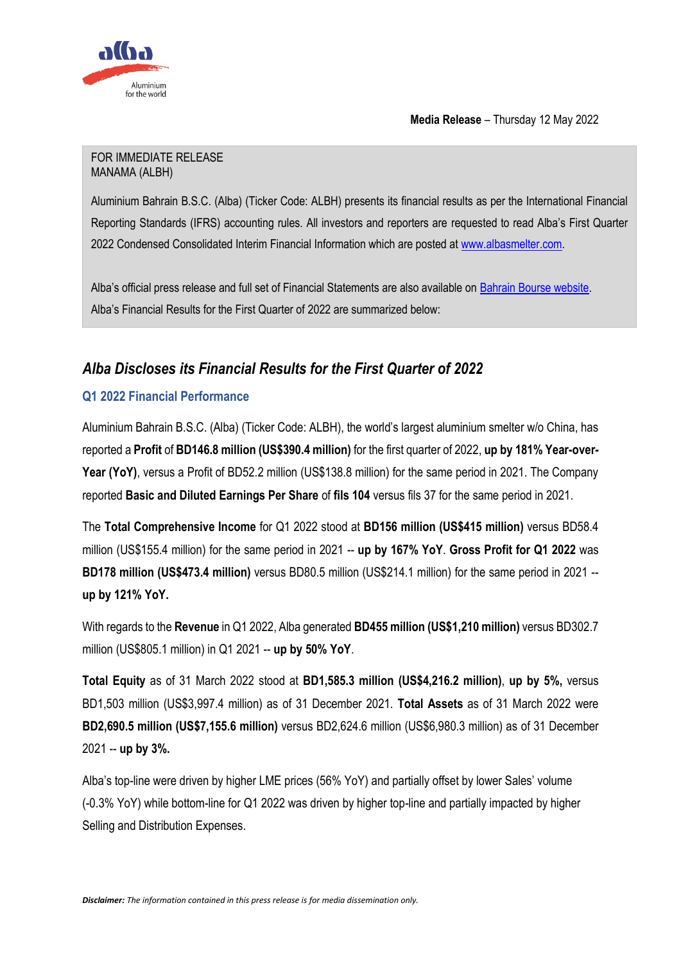

**Media Release** – Thursday 12 May 2022

### FOR IMMEDIATE RELEASE MANAMA (ALBH)

Aluminium Bahrain B.S.C. (Alba) (Ticker Code: ALBH) presents its financial results as per the International Financial Reporting Standards (IFRS) accounting rules. All investors and reporters are requested to read Alba's First Quarter 2022 Condensed Consolidated Interim Financial Information which are posted at [www.albasmelter.com.](http://www.albasmelter.com/)

Alba's official press release and full set of Financial Statements are also available on [Bahrain Bourse website.](https://www.bahrainbourse.com/aluminum-bahrain-bsc) Alba's Financial Results for the First Quarter of 2022 are summarized below:

# *Alba Discloses its Financial Results for the First Quarter of 2022*

# **Q1 2022 Financial Performance**

Aluminium Bahrain B.S.C. (Alba) (Ticker Code: ALBH), the world's largest aluminium smelter w/o China, has reported a **Profit** of **BD146.8 million (US\$390.4 million)** for the first quarter of 2022, **up by 181% Year-over-Year (YoY)**, versus a Profit of BD52.2 million (US\$138.8 million) for the same period in 2021. The Company reported **Basic and Diluted Earnings Per Share** of **fils 104** versus fils 37 for the same period in 2021.

The **Total Comprehensive Income** for Q1 2022 stood at **BD156 million (US\$415 million)** versus BD58.4 million (US\$155.4 million) for the same period in 2021 -- **up by 167% YoY**. **Gross Profit for Q1 2022** was **BD178 million (US\$473.4 million)** versus BD80.5 million (US\$214.1 million) for the same period in 2021 - **up by 121% YoY.** 

With regards to the **Revenue** in Q1 2022, Alba generated **BD455 million (US\$1,210 million)** versus BD302.7 million (US\$805.1 million) in Q1 2021 -- **up by 50% YoY**.

**Total Equity** as of 31 March 2022 stood at **BD1,585.3 million (US\$4,216.2 million)**, **up by 5%,** versus BD1,503 million (US\$3,997.4 million) as of 31 December 2021. **Total Assets** as of 31 March 2022 were **BD2,690.5 million (US\$7,155.6 million)** versus BD2,624.6 million (US\$6,980.3 million) as of 31 December 2021 -- **up by 3%.**

Alba's top-line were driven by higher LME prices (56% YoY) and partially offset by lower Sales' volume (-0.3% YoY) while bottom-line for Q1 2022 was driven by higher top-line and partially impacted by higher Selling and Distribution Expenses.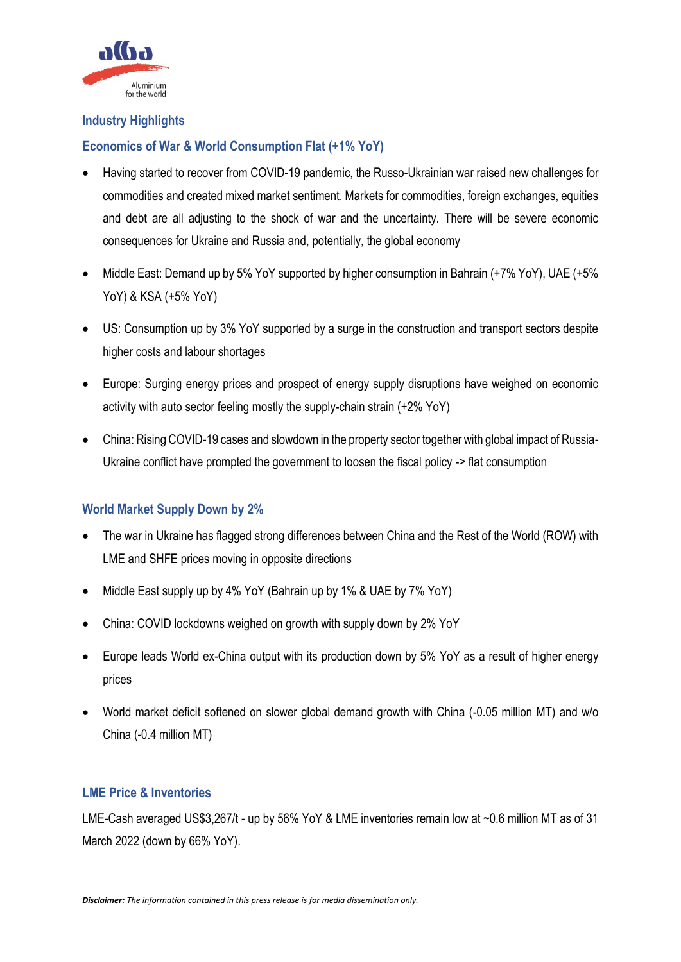

### **Industry Highlights**

### **Economics of War & World Consumption Flat (+1% YoY)**

- Having started to recover from COVID-19 pandemic, the Russo-Ukrainian war raised new challenges for commodities and created mixed market sentiment. Markets for commodities, foreign exchanges, equities and debt are all adjusting to the shock of war and the uncertainty. There will be severe economic consequences for Ukraine and Russia and, potentially, the global economy
- Middle East: Demand up by 5% YoY supported by higher consumption in Bahrain (+7% YoY), UAE (+5% YoY) & KSA (+5% YoY)
- US: Consumption up by 3% YoY supported by a surge in the construction and transport sectors despite higher costs and labour shortages
- Europe: Surging energy prices and prospect of energy supply disruptions have weighed on economic activity with auto sector feeling mostly the supply-chain strain (+2% YoY)
- China: Rising COVID-19 cases and slowdown in the property sector together with global impact of Russia-Ukraine conflict have prompted the government to loosen the fiscal policy -> flat consumption

### **World Market Supply Down by 2%**

- The war in Ukraine has flagged strong differences between China and the Rest of the World (ROW) with LME and SHFE prices moving in opposite directions
- Middle East supply up by 4% YoY (Bahrain up by 1% & UAE by 7% YoY)
- China: COVID lockdowns weighed on growth with supply down by 2% YoY
- Europe leads World ex-China output with its production down by 5% YoY as a result of higher energy prices
- World market deficit softened on slower global demand growth with China (-0.05 million MT) and w/o China (-0.4 million MT)

### **LME Price & Inventories**

LME-Cash averaged US\$3,267/t - up by 56% YoY & LME inventories remain low at ~0.6 million MT as of 31 March 2022 (down by 66% YoY).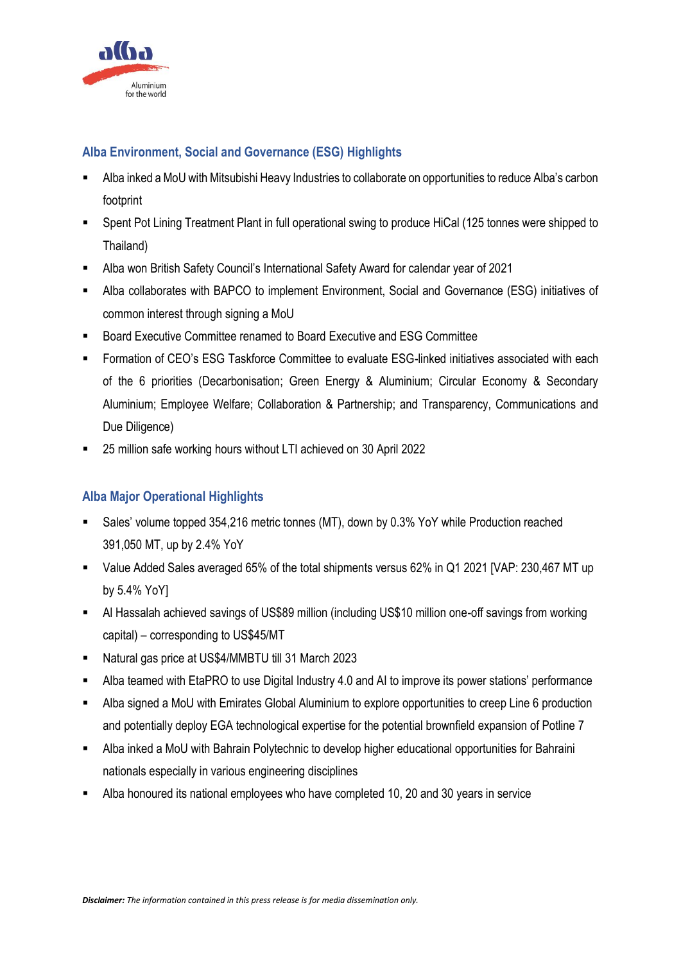

# **Alba Environment, Social and Governance (ESG) Highlights**

- Alba inked a MoU with Mitsubishi Heavy Industries to collaborate on opportunities to reduce Alba's carbon footprint
- Spent Pot Lining Treatment Plant in full operational swing to produce HiCal (125 tonnes were shipped to Thailand)
- Alba won British Safety Council's International Safety Award for calendar year of 2021
- Alba collaborates with BAPCO to implement Environment, Social and Governance (ESG) initiatives of common interest through signing a MoU
- Board Executive Committee renamed to Board Executive and ESG Committee
- Formation of CEO's ESG Taskforce Committee to evaluate ESG-linked initiatives associated with each of the 6 priorities (Decarbonisation; Green Energy & Aluminium; Circular Economy & Secondary Aluminium; Employee Welfare; Collaboration & Partnership; and Transparency, Communications and Due Diligence)
- 25 million safe working hours without LTI achieved on 30 April 2022

# **Alba Major Operational Highlights**

- Sales' volume topped 354,216 metric tonnes (MT), down by 0.3% YoY while Production reached 391,050 MT, up by 2.4% YoY
- Value Added Sales averaged 65% of the total shipments versus 62% in Q1 2021 [VAP: 230,467 MT up by 5.4% YoY]
- Al Hassalah achieved savings of US\$89 million (including US\$10 million one-off savings from working capital) – corresponding to US\$45/MT
- Natural gas price at US\$4/MMBTU till 31 March 2023
- Alba teamed with EtaPRO to use Digital Industry 4.0 and AI to improve its power stations' performance
- Alba signed a MoU with Emirates Global Aluminium to explore opportunities to creep Line 6 production and potentially deploy EGA technological expertise for the potential brownfield expansion of Potline 7
- Alba inked a MoU with Bahrain Polytechnic to develop higher educational opportunities for Bahraini nationals especially in various engineering disciplines
- Alba honoured its national employees who have completed 10, 20 and 30 years in service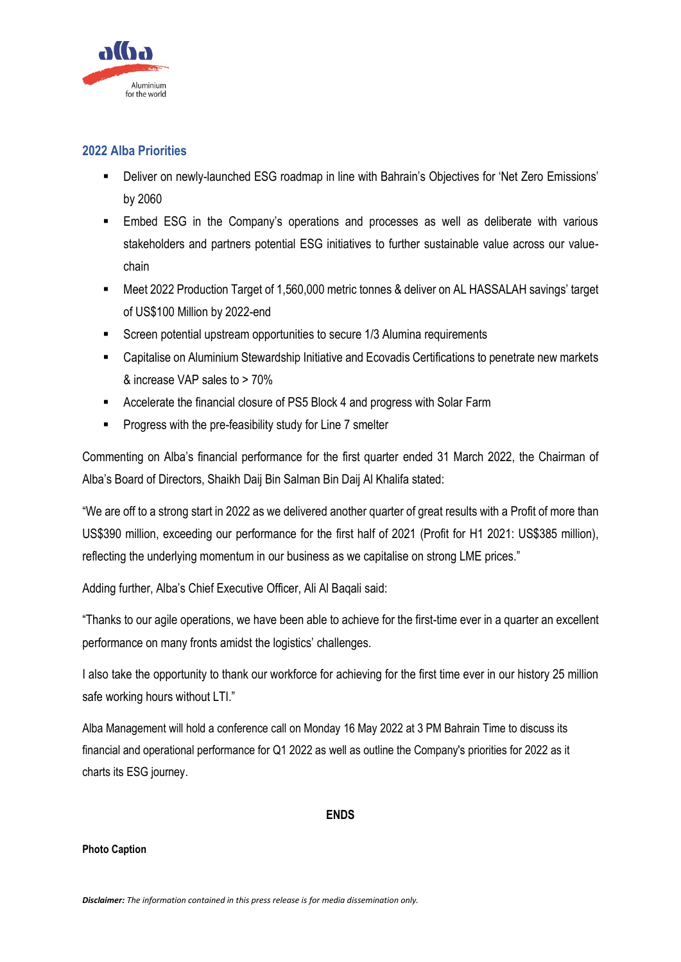

### **2022 Alba Priorities**

- Deliver on newly-launched ESG roadmap in line with Bahrain's Objectives for 'Net Zero Emissions' by 2060
- **Embed ESG in the Company's operations and processes as well as deliberate with various** stakeholders and partners potential ESG initiatives to further sustainable value across our valuechain
- Meet 2022 Production Target of 1,560,000 metric tonnes & deliver on AL HASSALAH savings' target of US\$100 Million by 2022-end
- Screen potential upstream opportunities to secure 1/3 Alumina requirements
- Capitalise on Aluminium Stewardship Initiative and Ecovadis Certifications to penetrate new markets & increase VAP sales to > 70%
- Accelerate the financial closure of PS5 Block 4 and progress with Solar Farm
- Progress with the pre-feasibility study for Line 7 smelter

Commenting on Alba's financial performance for the first quarter ended 31 March 2022, the Chairman of Alba's Board of Directors, Shaikh Daij Bin Salman Bin Daij Al Khalifa stated:

"We are off to a strong start in 2022 as we delivered another quarter of great results with a Profit of more than US\$390 million, exceeding our performance for the first half of 2021 (Profit for H1 2021: US\$385 million), reflecting the underlying momentum in our business as we capitalise on strong LME prices."

Adding further, Alba's Chief Executive Officer, Ali Al Baqali said:

"Thanks to our agile operations, we have been able to achieve for the first-time ever in a quarter an excellent performance on many fronts amidst the logistics' challenges.

I also take the opportunity to thank our workforce for achieving for the first time ever in our history 25 million safe working hours without LTI."

Alba Management will hold a conference call on Monday 16 May 2022 at 3 PM Bahrain Time to discuss its financial and operational performance for Q1 2022 as well as outline the Company's priorities for 2022 as it charts its ESG journey.

### **ENDS**

### **Photo Caption**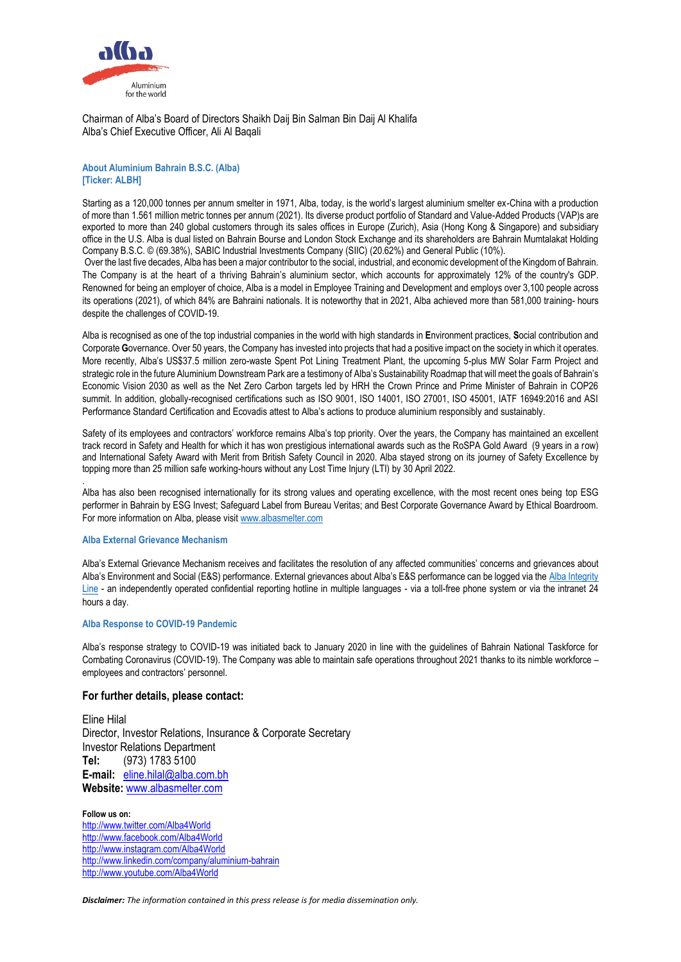

Chairman of Alba's Board of Directors Shaikh Daij Bin Salman Bin Daij Al Khalifa Alba's Chief Executive Officer, Ali Al Baqali

#### **About Aluminium Bahrain B.S.C. (Alba) [Ticker: ALBH]**

Starting as a 120,000 tonnes per annum smelter in 1971, Alba, today, is the world's largest aluminium smelter ex-China with a production of more than 1.561 million metric tonnes per annum (2021). Its diverse product portfolio of Standard and Value-Added Products (VAP)s are exported to more than 240 global customers through its sales offices in Europe (Zurich), Asia (Hong Kong & Singapore) and subsidiary office in the U.S. Alba is dual listed on Bahrain Bourse and London Stock Exchange and its shareholders are Bahrain Mumtalakat Holding Company B.S.C. © (69.38%), SABIC Industrial Investments Company (SIIC) (20.62%) and General Public (10%).

Over the last five decades, Alba has been a major contributor to the social, industrial, and economic development of the Kingdom of Bahrain. The Company is at the heart of a thriving Bahrain's aluminium sector, which accounts for approximately 12% of the country's GDP. Renowned for being an employer of choice, Alba is a model in Employee Training and Development and employs over 3,100 people across its operations (2021), of which 84% are Bahraini nationals. It is noteworthy that in 2021, Alba achieved more than 581,000 training- hours despite the challenges of COVID-19.

Alba is recognised as one of the top industrial companies in the world with high standards in **E**nvironment practices, **S**ocial contribution and Corporate **G**overnance. Over 50 years, the Company has invested into projects that had a positive impact on the society in which it operates. More recently, Alba's US\$37.5 million zero-waste Spent Pot Lining Treatment Plant, the upcoming 5-plus MW Solar Farm Project and strategic role in the future Aluminium Downstream Park are a testimony of Alba's Sustainability Roadmap that will meet the goals of Bahrain's Economic Vision 2030 as well as the Net Zero Carbon targets led by HRH the Crown Prince and Prime Minister of Bahrain in COP26 summit. In addition, globally-recognised certifications such as ISO 9001, ISO 14001, ISO 27001, ISO 45001, IATF 16949:2016 and ASI Performance Standard Certification and Ecovadis attest to Alba's actions to produce aluminium responsibly and sustainably.

Safety of its employees and contractors' workforce remains Alba's top priority. Over the years, the Company has maintained an excellent track record in Safety and Health for which it has won prestigious international awards such as the RoSPA Gold Award (9 years in a row) and International Safety Award with Merit from British Safety Council in 2020. Alba stayed strong on its journey of Safety Excellence by topping more than 25 million safe working-hours without any Lost Time Injury (LTI) by 30 April 2022.

Alba has also been recognised internationally for its strong values and operating excellence, with the most recent ones being top ESG performer in Bahrain by ESG Invest; Safeguard Label from Bureau Veritas; and Best Corporate Governance Award by Ethical Boardroom. For more information on Alba, please visi[t www.albasmelter.com](http://www.albasmelter.com/)

#### **Alba External Grievance Mechanism**

.

Alba's External Grievance Mechanism receives and facilitates the resolution of any affected communities' concerns and grievances about Alba's Environment and Social (E&S) performance. External grievances about Alba's E&S performance can be logged via the Alba Integrity [Line](https://www.albasmelter.com/About%20Alba/Code-of-Conduct/Pages/default.aspx) - an independently operated confidential reporting hotline in multiple languages - via a toll-free phone system or via the intranet 24 hours a day.

#### **Alba Response to COVID-19 Pandemic**

Alba's response strategy to COVID-19 was initiated back to January 2020 in line with the guidelines of Bahrain National Taskforce for Combating Coronavirus (COVID-19). The Company was able to maintain safe operations throughout 2021 thanks to its nimble workforce – employees and contractors' personnel.

#### **For further details, please contact:**

Eline Hilal Director, Investor Relations, Insurance & Corporate Secretary Investor Relations Department **Tel:** (973) 1783 5100 **E-mail:** [eline.hilal@alba.com.bh](mailto:eline.hilal@alba.com.bh) **Website:** [www.albasmelter.com](http://www.albasmelter.com/)

**Follow us on:**  <http://www.twitter.com/Alba4World> <http://www.facebook.com/Alba4World> <http://www.instagram.com/Alba4World> <http://www.linkedin.com/company/aluminium-bahrain> <http://www.youtube.com/Alba4World>

*Disclaimer: The information contained in this press release is for media dissemination only.*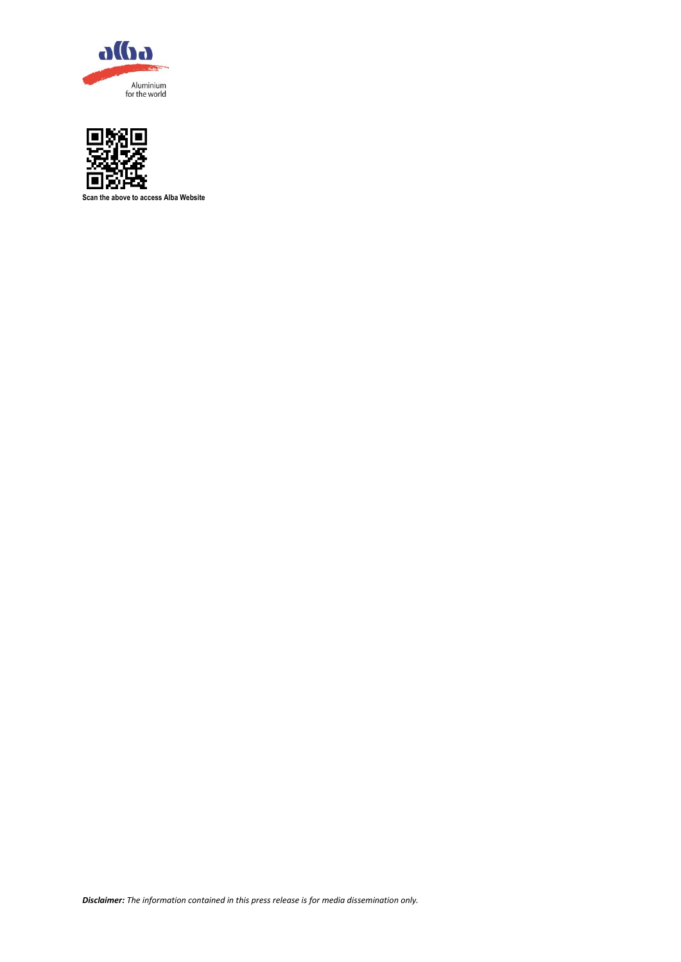



**Scan the above to access Alba Website**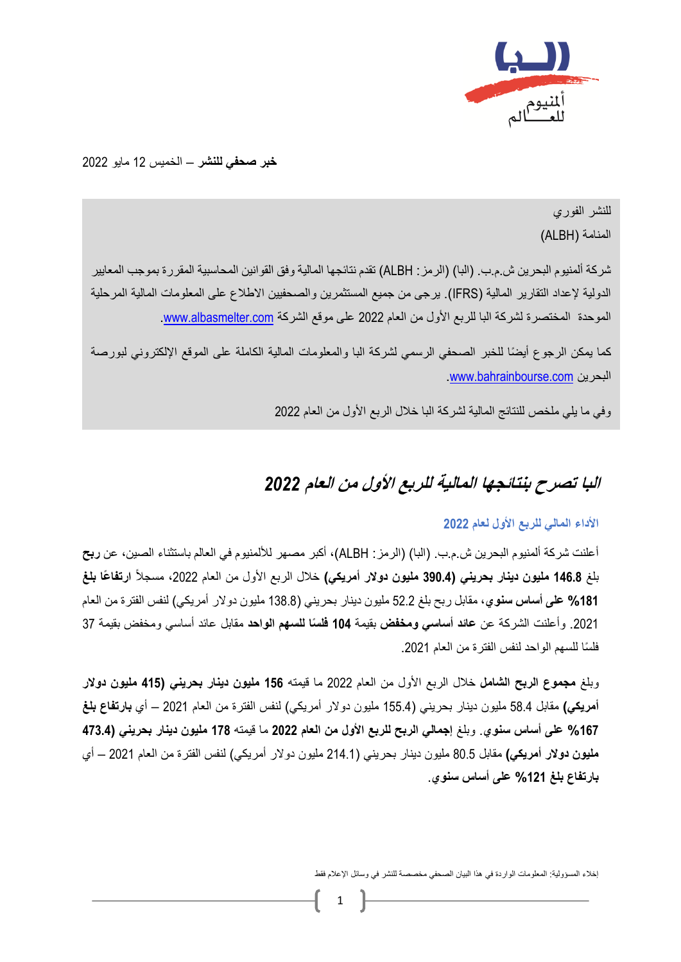

**خبر صحفي للنشر** – الخميس 12 مايو 2022

للنشر الفوري المنامة )ALBH)

شركة ألمنيوم البحرين ش.م.ب. )البا( )الرمز: ALBH )تقدم نتائجها المالية وفق القوانين المحاسبية المقررة بموجب المعايير الدولية لإعداد التقارير المالية (IFRS). يرجى من جميع المستثمرين والصحفيين الاطلاع على المعلومات المالية المرحلية الموحدة المختصرة لشركة البا للربع الأول من العام 2022 على موقع الشركة www.albasmelter.com

كما يمكن الرجوع أيضًا للخبر الصحفي الرسمي لشركة البا والمعلومات المالية الكاملة على الموقع الإلكتروني لبورصة .[www.bahrainbourse.com](http://www.bahrainbourse.com/) البحرين

وفي ما يلي ملخص للنتائج المالية لشركة البا خالل الربع األول من العام 2022

# **البا تصرح ب نتائجها المالية للربع األول من العام** *2022*

### **األداء المالي للربع األول لعام 2022**

أعلنت شركة ألمنيوم البحرين ش.م.ب. )البا( )الرمز: ALBH)، أكبر مصهر لأللمنيوم في العالم باستثناء الصين، عن **ربح** بلغ 1**46.8 مليون دينار بحريني (390.4 مليون دولار أمريكي) خلال الربع الأول من العام 2022، مسجلاً ا<b>رتف**اعًا **بلغ %181 على أساس سنوي**، مقابل ربح بلغ 52.2 مليون دينار بحريني )138.8 مليون دوالر أمريكي( لنفس الفترة من العام .2021 وأعلنت الشركة عن **عائد أساسي ومخفض** بقيمة **104 فل ًسا للسهم الواحد** مقابل عائد أساسي ومخفض بقيمة 37 فلسًا للسهم الواحد لنفس الفترة من العام 2021.

وبلغ **مجموع الربح الشامل** خالل الربع األول من العام 2022 ما قيمته **156 مليون دينار بحريني )415 مليون دوالر أمريكي(** مقابل 58.4 مليون دينار بحريني )155.4 مليون دوالر أمريكي( لنفس الفترة من العام 2021 – أي **بارتفاع بلغ %167 على أساس سنوي**. وبلغ **إجمالي الربح للربع األول من العام 2022** ما قيمته **178 مليون دينار بحريني )473.4 مليون دوالر أمريكي(** مقابل 80.5 مليون دينار بحريني )214.1 مليون دوالر أمريكي( لنفس الفترة من العام 2021 – أي **بارتفاع بلغ %121 على أساس سنوي**.

إخالء المسؤولية: المعلومات الواردة في هذا البيان الصحفي مخصصة للنشر في وسائل اإلعالم فقط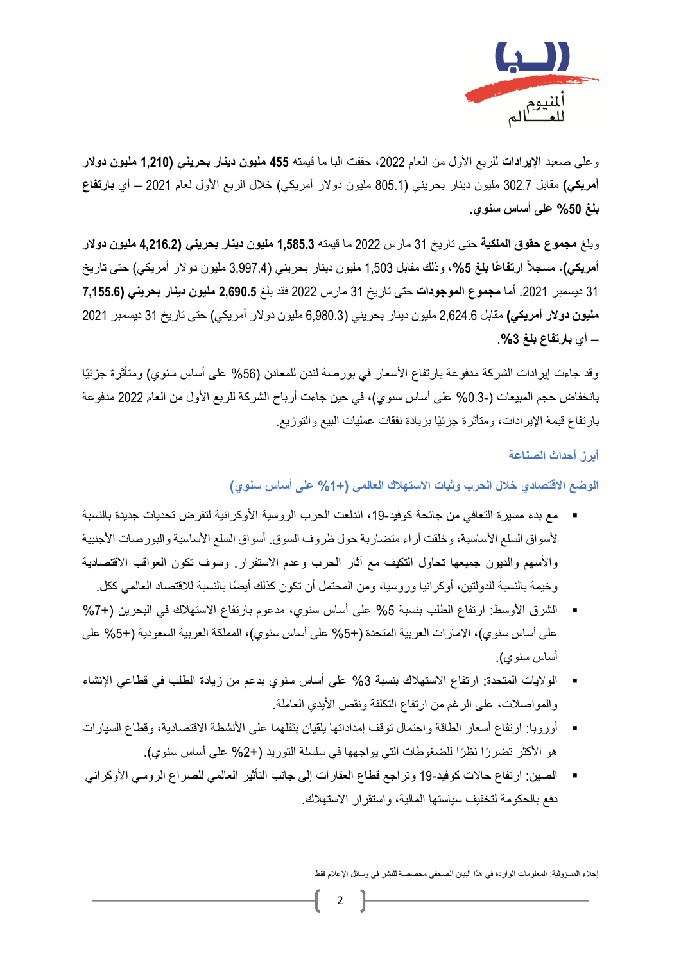

وعلى صعيد **اإليرادات** للربع األول من العام ،2022 حققت البا ما قيمته **455 مليون دينار بحريني )1,210 مليون دوالر أمريكي(** مقابل 302.7 مليون دينار بحريني )805.1 مليون دوالر أمريكي( خالل الربع األول لعام 2021 – أي **بارتفاع بلغ %50 على أساس سنوي**.

وبلغ **مجموع حقوق الملكية** حتى تاريخ 31 مارس 2022 ما قيمته **1,585.3 مليون دينار بحريني )4,216.2 مليون دوالر أمريكي)،** مسجلاً ا**رتفاعًا بلغ 5%،** وذلك مقابل 1,503 مليون دينار بحريني (3,997.4 مليون دولار أمريكي) حتى تاريخ 31 ديسمبر .2021 أما **مجموع الموجودات** حتى تاريخ 31 مارس 2022 فقد بلغ **2,690.5 مليون دينار بحريني )7,155.6 مليون دوالر أمريكي(** مقابل 2,624.6 مليون دينار بحريني )6,980.3 مليون دوالر أمريكي( حتى تاريخ 31 ديسمبر 2021 – أي **بارتفاع بلغ** .**%3**

وقد جاءت إيرادات الشركة مدفوعة بارتفاع الأسعار في بورصة لندن للمعادن (56% على أساس سنوي) ومتأثرة جزئيًا بانخفاض حجم المبيعات (-0.3% على أساس سنوي)، في حين جاءت أرباح الشركة للربع الأول من العام 2022 مدفوعة بارتفاع قيمة اإليرادات، ومتأثرة جزئيًا بزيادة نفقات عمليات البيع والتوزيع.

**أبرز أحداث الصناعة**

### **الوضع االقتصادي خالل الحرب وثبات االستهالك العالمي )%1+ على أساس سنوي(**

- مع بدء مسيرة التعافي من جائحة كوفيد-19، اندلعت الحرب الروسية الأوكرانية لتفرض تحديات جديدة بالنسبة لأسواق السلع الأساسية، وخلقت آراء متضاربة حول ظروف السوق. أسواق السلع الأساسية والبورصات الأجنبية واألسهم والديون جميعها تحاول التكيف مع آثار الحرب وعدم االستقرار. وسوف تكون العواقب االقتصادية وخيمة بالنسبة للدولتين، أو كر انيا ور وسيا، ومن المحتمل أن تكون كذلك أيضًا بالنسبة للاقتصاد العالمي ككل.
- الشرق الأوسط: ارتفاع الطلب بنسبة 5% على أساس سنوي، مدعوم بارتفاع الاستهلاك في البحرين (+7% على أساس سنوي)، الإمارات العربية المتحدة (+5% على أساس سنوي)، المملكة العربية السعودية (+5% على أساس سنوي(.
- الولايات المتحدة: ارتفاع الاستهلاك بنسبة 3% على أساس سنوي بدعم من زيادة الطلب في قطاعي الإنشاء والمواصلات، على الرغم من ارتفاع التكلفة ونقص الأيدي العاملة.
- أوروبا: ارتفاع أسعار الطاقة واحتمال توقف إمداداتها يلقيان بثقلهما على الأنشطة الاقتصادية، وقطاع السيارات هو الأكثر تضررًا نظرًا للضغوطات التي يواجهها في سلسلة التوريد (+2% على أساس سنوي).
- الصين: ارتفاع حالات كوفيد-19 وتراجع قطاع العقارات إلى جانب التأثير العالمي للصراع الروسي الأوكراني دفع بالحكومة لتخفيف سياستها المالية، واستقرار االستهالك.

إخالء المسؤولية: المعلومات الواردة في هذا البيان الصحفي مخصصة للنشر في وسائل اإلعالم فقط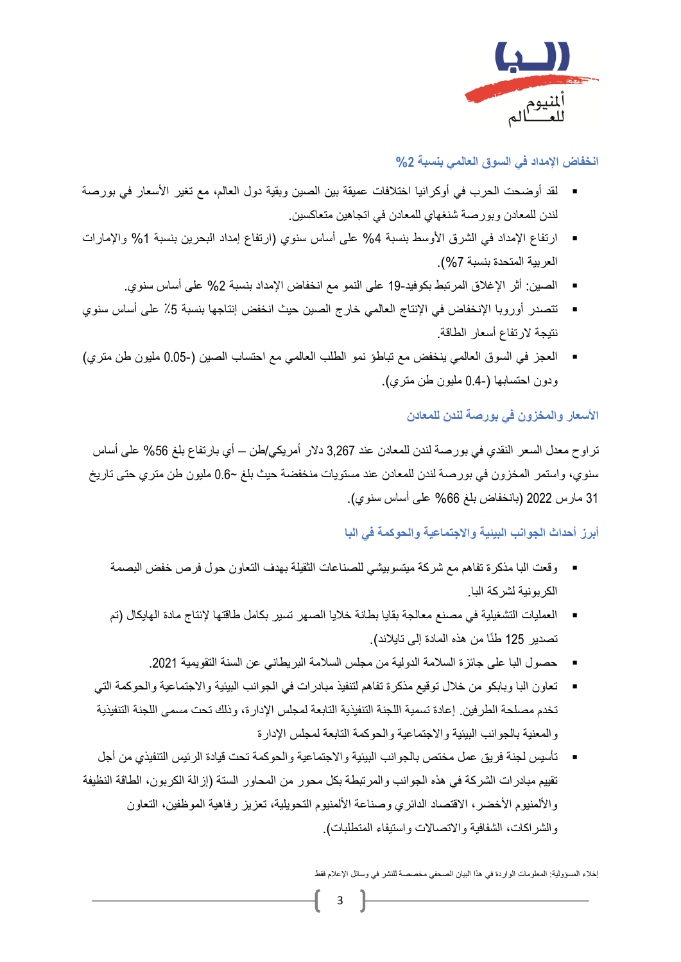

# **انخفاض اإلمداد في السوق العالمي بنسبة %2**

- لقد أوضحت الحرب في أوكرانيا اختلافات عميقة بين الصين وبقية دول العالم، مع تغير الأسعار في بورصة لندن للمعادن وبورصة شنغهاي للمعادن في اتجاهين متعاكسين.
- ارتفاع الإمداد في الشرق الأوسط بنسبة 4% على أساس سنوي (ارتفاع إمداد البحرين بنسبة 1% والإمارات العربية المتحدة بنسبة %7(.
	- الصين: أثر الإغلاق المرتبط بكوفيد-19 على النمو مع انخفاض الإمداد بنسبة 2% على أساس سنوي.
- تتصدر أوروبا الإنخفاض في الإنتاج العالمي خارج الصين حيث انخفض إنتاجها بنسبة 5٪ على أساس سنوي نتيجة الرتفاع أسعار الطاقة.
- العجز في السوق العالمي ينخفض مع تباطؤ نمو الطلب العالمي مع احتساب الصين )0.05- مليون طن متري( ودون احتسابها (−0.4 مليون طن متري).

# **األسعار والمخزون في بورصة لندن للمعادن**

تراوح معدل السعر النقدي في بورصة لندن للمعادن عند 3,267 دالر أمريكي/طن – أي بارتفاع بلغ %56 على أساس سنوي، واستمر المخزون في بورصة لندن للمعادن عند مستويات منخفضة حيث بلغ ~0.6 مليون طن متري حتى تاريخ 31 مارس 2022 (بانخفاض بلغ 66% على أساس سنوي).

### **أبرز أحداث الجوانب البيئية واالجتماعية والحوكمة في البا**

- وقعت البا مذكرة تفاهم مع شركة ميتسوبيشي للصناعات الثقيلة بهدف التعاون حول فرص خفض البصمة الكربونية لشركة البا.
- العمليات التشغيلية في مصنع معالجة بقايا بطانة خلايا الصهر تسير بكامل طاقتها لإنتاج مادة الهايكال (تم تصدير 125 طنًا من هذه المادة إلى تايلاند).
	- حصول البا على جائزة السلامة الدولية من مجلس السلامة البريطاني عن السنة التقويمية 2021.
- تعاون البا وبابكو من خالل توقيع مذكرة تفاهم لتنفيذ مبادرات في الجوانب البيئية واالجتماعية والحوكمة التي تخدم مصلحة الطرفين. إعادة تسمية اللجنة التنفيذية التابعة لمجلس اإلدارة، وذلك تحت مسمى اللجنة التنفيذية والمعنية بالجوانب البيئية واالجتماعية والحوكمة التابعة لمجلس اإلدارة
- تأسيس لجنة فريق عمل مختص بالجوانب البيئية والاجتماعية والحوكمة تحت قيادة الرئيس التنفيذي من أجل تقييم مبادرات الشركة في هذه الجوانب والمرتبطة بكل محور من المحاور الستة )إزالة الكربون، الطاقة النظيفة والألمنيوم الأخضر، الاقتصاد الدائري وصناعة الألمنيوم التحويلية، تعزيز رفاهية الموظفين، التعاون والشراكات، الشفافية والاتصالات واستيفاء المتطلبات).

إخالء المسؤولية: المعلومات الواردة في هذا البيان الصحفي مخصصة للنشر في وسائل اإلعالم فقط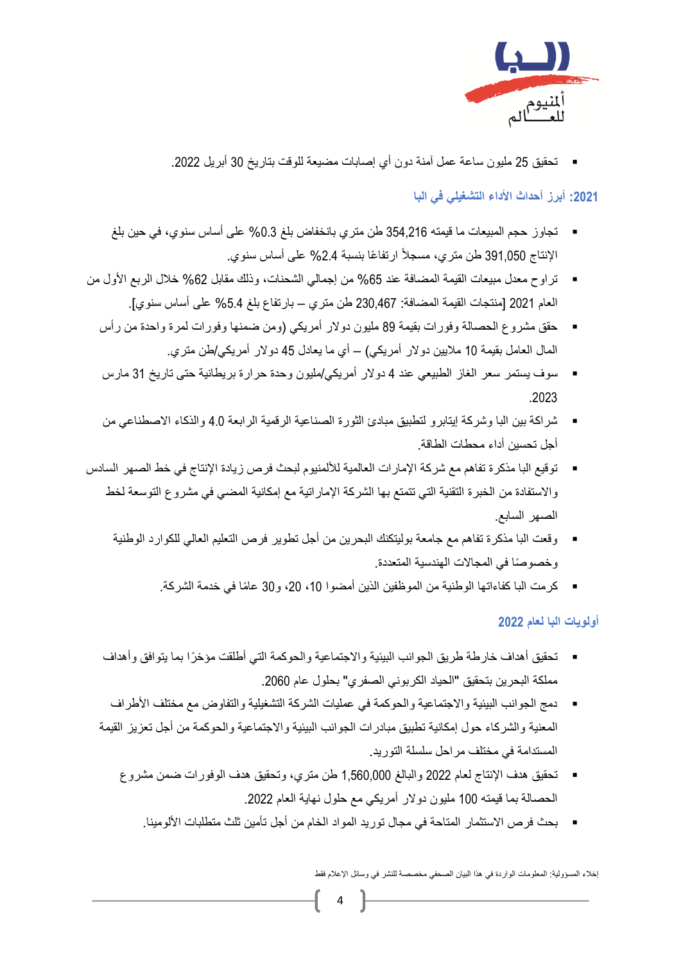

▪ تحقيق 25 مليون ساعة عمل آمنة دون أي إصابات مضيعة للوقت بتاريخ 30 أبريل .2022

# **:2021 أبرز أحداث األداء التشغيلي في البا**

- تجاوز حجم المبيعات ما قيمته 354,216 طن متري بانخفاض بلغ 0.3% على أساس سنوي، في حين بلغ الإنتاج 391,050 طن متري، مسجلاً ارتفاعًا بنسبة 2.4% على أساس سنوي.
- تراوح معدل مبيعات القيمة المضافة عند 65% من إجمالي الشحنات، وذلك مقابل 62% خلال الربع الأول من العام 2021 ]منتجات القيمة المضافة: 230,467 طن متري – بارتفاع بلغ %5.4 على أساس سنوي[.
	- حقق مشروع الحصالة وفورات بقيمة 89 مليون دولار أمريكي (ومن ضمنها وفورات لمرة واحدة من رأس المال العامل بقيمة 10 ملايين دولار أمريكي) – أي ما يعادل 45 دولار أمريكي/طن متري<sub>.</sub>
	- سوف يستمر سعر الغاز الطبيعي عند 4 دولار أمريكي/مليون وحدة حرارة بريطانية حتى تاريخ 31 مارس .2023
	- شراكة بين البا وشركة إيتابرو لتطبيق مبادئ الثورة الصناعية الرقمية الرابعة 4.0 والذكاء الاصطناعي من أجل تحسين أداء محطات الطاقة.
- توقيع البا مذكر ة تفاهم مع شركة الإمار ات العالمية للألمنيوم لبحث فرص زيادة الإنتاج في خط الصهر ِ السادس واالستفادة من الخبرة التقنية التي تتمتع بها الشركة اإلماراتية مع إمكانية المضي في مشروع التوسعة لخط الصهر السابع.
	- وقعت البا مذكرة تفاهم مع جامعة بوليتكنك البحرين من أجل تطوير فرص التعليم العالي للكوارد الوطنية وخصوصًا في المجالات الهندسية المتعددة.
		- كرمت البا كفاءاتها الوطنية من الموظفين الذين أمضوا 10، 20، و30 عامًا في خدمة الشركة.

### **أولويات البا لعام 2022**

- تحقيق أهداف خارطة طريق الجوانب البيئية والاجتماعية والحوكمة التي أطلقت مؤخرًا بما يتوافق وأهداف مملكة البحرين بتحقيق "الحياد الكربوني الصفري" بحلول عام 2060.
- دمج الجوانب البيئية والاجتماعية والحوكمة في عمليات الشركة التشغيلية والتفاوض مع مختلف الأطراف المعنية والشركاء حول إمكانية تطبيق مبادرات الجوانب البيئية واالجتماعية والحوكمة من أجل تعزيز القيمة المستدامة في مختلف مراحل سلسلة التوريد.
	- تحقيق هدف اإلنتا ج لعام 2022 والبالغ 1,560,000 طن متري، وتحقيق هدف الوفورات ضمن مشروع الحصالة بما قيمته 100 مليون دوالر أمريكي مع حلول نهاية العام .2022
		- بحث فرص االستثمار المتاحة في مجال توريد المواد الخام من أجل تأمين ثلث متطلبات األلومينا.

إخالء المسؤولية: المعلومات الواردة في هذا البيان الصحفي مخصصة للنشر في وسائل اإلعالم فقط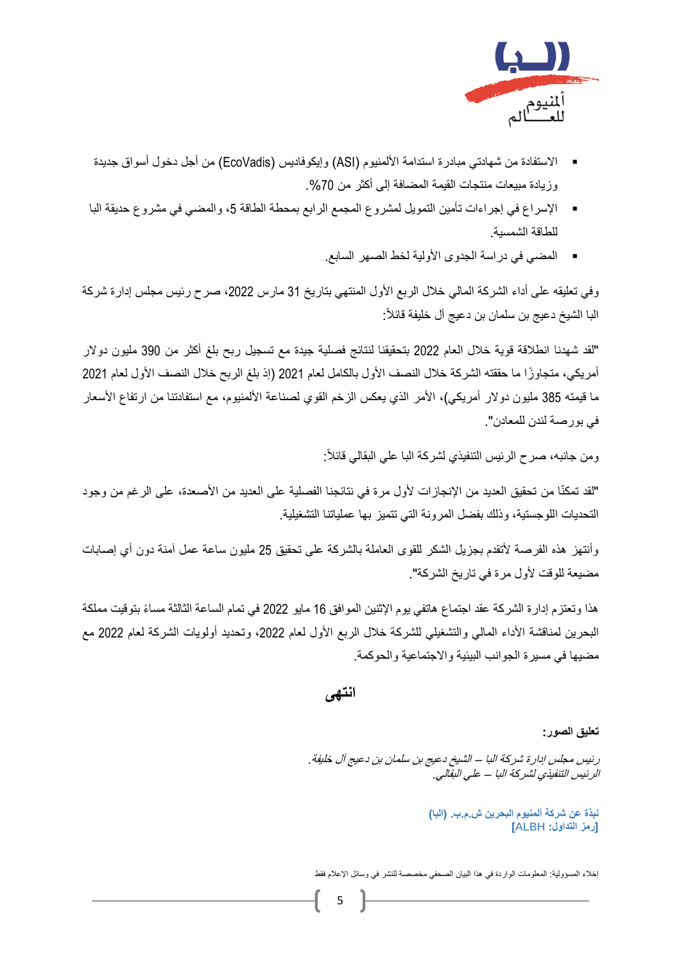

- الاستفادة من شهادتي مبادرة استدامة الألمنيوم (ASI) وإيكوفاديس (EcoVadis) من أجل دخول أسواق جديدة وز يادة مبيعات منتجات القيمة المضافة إلى أكثر من 70%.
- الإسراع في إجراءات تأمين التمويل لمشروع المجمع الرابع بمحطة الطاقة 5، والمضي في مشروع حديقة البا للطاقة الشمسية.
	- المضي في دراسة الجدوى األولية لخط الصهر السابع.

وفي تعليقه على أداء الشركة المالي خلال الربع الأول المنتهي بتاريخ 31 مارس 2022، صرح رئيس مجلس إدارة شركة البا الشيخ دعيج بن سلمان بن دعيج آل خليفة قائال:ً

"لقد شهدنا انطالقة قوية خالل العام 2022 بتحقيقنا لنتائج فصلية جيدة مع تسجيل ربح بلغ أكثر من 390 مليون دوالر أمريكي، متجاوزًا ما حققته الشركة خلال النصف الأول بالكامل لعام 2021 (إذ بلغ الربح خلال النصف الأول لعام 2021 ما قيمته 385 مليون دولار أمريكي)، الأمر الذي يعكس الزخم القوي لصناعة الألمنيوم، مع استفادتنا من ارتفاع الأسعار في بورصة لندن للمعادن".

ومن جانبه، صرح الرئيس التنفيذي لشركة البا علي البقالي قائال:ً

"لقد تمكنّا من تحقيق العديد من الإنجازات لأول مرة في نتائجنا الفصلية على العديد من الأصعدة، على الرغم من وجود التحديات اللوجستية، وذلك بفضل المرونة التي تتميز بها عملياتنا التشغيلية.

وأنتهز هذه الفرصة لأتقدم بجزيل الشكر للقوى العاملة بالشركة على تحقيق 25 مليون ساعة عمل آمنة دون أي إصابات مضيعة للوقت لأول مرة في تاريخ الشركة".

هذا وتعتزم إدارة الشركة عقد اجتماع هاتفي يوم اإلثنين الموافق 16 مايو 2022 في تمام الساعة الثالثة مسا ًء بتوقيت مملكة البحرين لمناقشة الأداء المالي والتشغيلي للشركة خلال الربع الأول لعام 2022، وتحديد أولويات الشركة لعام 2022 مع مضيها في مسيرة الجوانب البيئية واالجتماعية والحوكمة.

**انتهى** 

**تعليق الصور:** 

رئيس مجلس إدارة شركة البا – الشيخ دعيج بن سلمان بن دعيج آل خليفة. الرئيس التنفيذي لشركة البا – علي البقالي.

> **نبذة عن شركة ألمنيوم البحرين ش.م.ب. )البا( ]رمز التداول:** ALBH **]**

إخالء المسؤولية: المعلومات الواردة في هذا البيان الصحفي مخصصة للنشر في وسائل اإلعالم فقط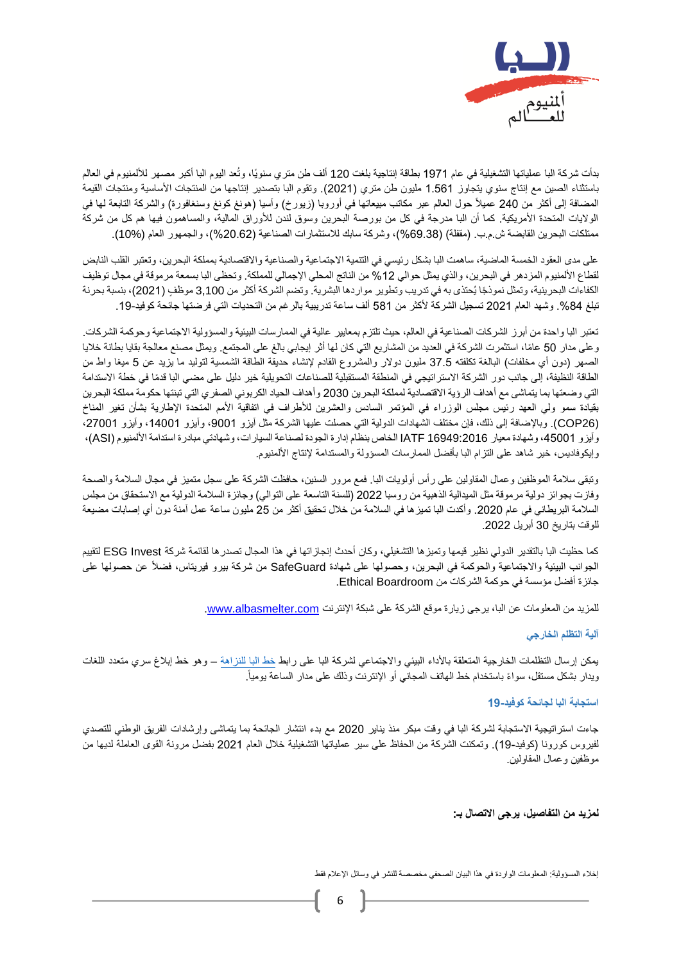

بدأت شركة البا عملياتها التشغيلية في عام 1971 بطاقة إنتاجية بلغت 120 ألف طن متري سنويًا، وتُعد اليوم البا أكبر مصهر لأللمنيوم في العالم باستثناء الصين مع إنتاج سنوي يتجاوز 1.561 مليون طن متري (2021). وتقوم البا بتصدير إنتاجها من المنتجات الأساسية ومنتجات القيمة المضافة إلى أكثر من 240 عميلاً حول العالم عبر مكاتب مبيعاتها في أوروبا (زيورخ) وآسيا (هونغ كونغ وسنغافورة) والشركة التابعة لها في الولايات المتحدة الأمريكية. كما أن البا مدرجة في كل من بورصة البحرين وسوق لندن للأوراق المالية، والمساهمون فيها هم كل من شركة ممتلكات البحرين القابضة ش.م.ب. )مقفلة( )%69.38(، وشركة سابك لالستثمارات الصناعية )%20.62(، والجمهور العام (10%).

على مدى العقود الخمسة الماضية، ساهمت البا بشكل رئيسي في التنمية الاجتماعية والصناعية والاقتصادية بمملكة البحرين، وتعتبر القلب النابض لقطاع الألمنيوم المزدهر في البحرين، والذي يمثل حوالي 12% من الناتج المحلي الإجمالي للمملكة. وتحظى البا بسمعة مرموقة في مجال توظيف الكفاءات البحرينية، وتمثل نموذجًا يُحتذى به في تدريب وتطوير مواردها البشرية. وتضم الشركة أكثر من 3,100 موظفٍ (2021)، بنسبة بحرنة تبلغ 84%. وشهد العام 2021 تسجيل الشركة لأكثر من 581 ألف ساعة تدريبية بالرغم من التحديات التي فرضتها جائحة كوفيد-19.

تعتبر البا واحدة من أبرز الشركات الصناعية في العالم، حيث تلتزم بمعايير عالية في الممارسات البيئية والمسؤولية االجتماعية وحوكمة الشركات. وعلى مدار 50 عامًا، استثمرت الشركة في العديد من المشاريع التي كان لها أثر إيجابي بالغ على المجتمع. ويمثل مصنع معالجة بقايا بطانة خلايا الصهر (دون أي مخلفات) البالغة تكلفته 37.5 مليون دولار والمشروع القادم لإنشاء حديقة الطاقة الشمسية لتوليد ما يزيد عن 5 ميغا واط من الطاقة النظيفة، إلى جانب دور الشركة االستراتيجي في المنطقة المستقبلية للصناعات التحويلية خير دليل على مضي البا قدًما في خطة االستدامة التي وضعتها بما يتماشى مع أهداف الرؤية االقتصادية لمملكة البحرين 2030 وأهداف الحياد الكربوني الصفري التي تبنتها حكومة مملكة البحرين بقيادة سمو ولي العهد رئيس مجلس الوزراء في المؤتمر السادس والعشرين لألطراف في اتفاقية األمم المتحدة اإلطارية بشأن تغير المناخ )26COP). وباإلضافة إلى ذلك، فإن مختلف الشهادات الدولية التي حصلت عليها الشركة مثل آيزو ،9001 وآيزو ،14001 وآيزو ،27001 وآيزو ،45001 وشهادة معيار 16949:2016 IATF الخاص بنظام إدارة الجودة لصناعة السيارات، وشهادتي مبادرة استدامة األلمنيوم )ASI)، وإيكوفاديس، خير شاهد على التزام البا بأفضل الممارسات المسؤولة والمستدامة إلنتاج األلمنيوم.

وتبقى سالمة الموظفين وعمال المقاولين على رأس أولويات البا. فمع مرور السنين، حافظت الشركة على سجل متميز في مجال السالمة والصحة وفازت بجوائز دولية مرموقة مثل الميدالية الذهبية من روسبا 2022 (للسنة التاسعة على التوالي) وجائزة السلامة الدولية مع الاستحقاق من مجلس السلامة البريطاني في عام 2020. وأكدت البا تميزها في السلامة من خلال تحقيق أكثر من 25 مليون ساعة عمل آمنة دون أي إصابات مضيعة للوقت بتاريخ 30 أبريل .2022

كما حظيت البا بالتقدير الدولي نظير قيمها وتميزها التشغيلي، وكان أحدث إنجازاتها في هذا المجال تصدرها لقائمة شركة Invest ESG لتقييم الجوانب البيئية والاجتماعية والحوكمة في البحرين، وحصولها على شهادة SafeGuard من شركة بيرو فيريتاس، فضلأ عن حصولها على جائزة أفضل مؤسسة في حوكمة الشركات من Boardroom Ethical.

للمزيد من المعلومات عن البا، يرجى زيارة موقع الشركة على شبكة الإنترنت www.albasmelter.com.

### **آلية التظلم الخارجي**

يمكن إرسال التظلمات الخارجية المتعلقة بالأداء البيئي والاجتماعي لشركة البا على رابط [خط البا للنزاهة](https://www.albasmelter.com/About%20Alba/Code-of-Conduct/Pages/default.aspx) – وهو خط إبلاغ سري متعدد اللغات ويدار بشكل مستقل، سواءً باستخدام خط المهاتف المجاني أو الإنترنت وذلك على مدار الساعة يومياً.

### **استجابة البا لجائحة كوفيد19-**

جاءت استراتيجية االستجابة لشركة البا في وقت مبكر منذ يناير 2020 مع بدء انتشار الجائحة بما يتماشى وإرشادات الفريق الوطني للتصدي لفيروس كورونا (كوفيد-19). وتمكنت الشركة من الحفاظ على سير عملياتها التشغيلية خلال العام 2021 بفضل مرونة القوى العاملة لديها من موظفين وعمال المقاولين.

### **لمزيد من التفاصيل، يرجى االتصال بـ:**

إخالء المسؤولية: المعلومات الواردة في هذا البيان الصحفي مخصصة للنشر في وسائل اإلعالم فقط